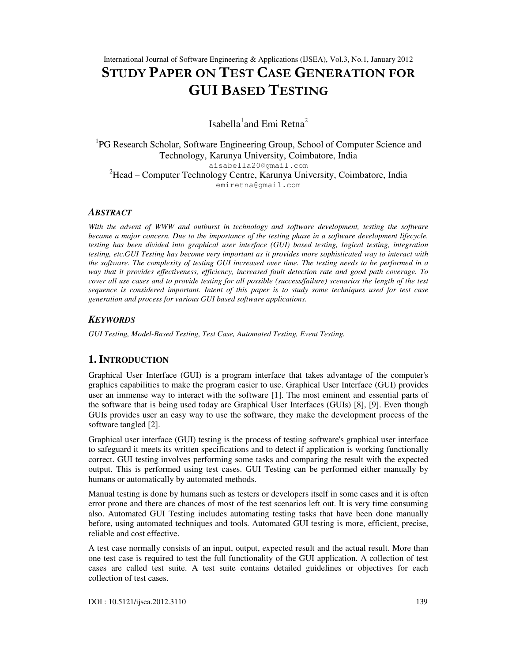# International Journal of Software Engineering & Applications (IJSEA), Vol.3, No.1, January 2012 STUDY PAPER ON TEST CASE GENERATION FOR GUI BASED TESTING

Isabella<sup>1</sup> and Emi Retna<sup>2</sup>

<sup>1</sup>PG Research Scholar, Software Engineering Group, School of Computer Science and Technology, Karunya University, Coimbatore, India aisabella20@gmail.com  ${}^{2}$ Head – Computer Technology Centre, Karunya University, Coimbatore, India emiretna@gmail.com

### *ABSTRACT*

*With the advent of WWW and outburst in technology and software development, testing the software became a major concern. Due to the importance of the testing phase in a software development lifecycle, testing has been divided into graphical user interface (GUI) based testing, logical testing, integration testing, etc.GUI Testing has become very important as it provides more sophisticated way to interact with the software. The complexity of testing GUI increased over time. The testing needs to be performed in a way that it provides effectiveness, efficiency, increased fault detection rate and good path coverage. To cover all use cases and to provide testing for all possible (success/failure) scenarios the length of the test sequence is considered important. Intent of this paper is to study some techniques used for test case generation and process for various GUI based software applications.* 

### *KEYWORDS*

*GUI Testing, Model-Based Testing, Test Case, Automated Testing, Event Testing.* 

# **1. INTRODUCTION**

Graphical User Interface (GUI) is a program interface that takes advantage of the computer's graphics capabilities to make the program easier to use. Graphical User Interface (GUI) provides user an immense way to interact with the software [1]. The most eminent and essential parts of the software that is being used today are Graphical User Interfaces (GUIs) [8], [9]. Even though GUIs provides user an easy way to use the software, they make the development process of the software tangled [2].

Graphical user interface (GUI) testing is the process of testing software's graphical user interface to safeguard it meets its written specifications and to detect if application is working functionally correct. GUI testing involves performing some tasks and comparing the result with the expected output. This is performed using test cases. GUI Testing can be performed either manually by humans or automatically by automated methods.

Manual testing is done by humans such as testers or developers itself in some cases and it is often error prone and there are chances of most of the test scenarios left out. It is very time consuming also. Automated GUI Testing includes automating testing tasks that have been done manually before, using automated techniques and tools. Automated GUI testing is more, efficient, precise, reliable and cost effective.

A test case normally consists of an input, output, expected result and the actual result. More than one test case is required to test the full functionality of the GUI application. A collection of test cases are called test suite. A test suite contains detailed guidelines or objectives for each collection of test cases.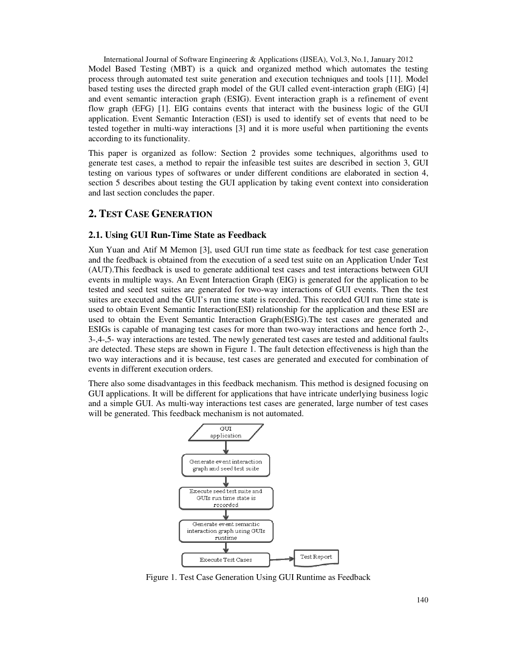International Journal of Software Engineering & Applications (IJSEA), Vol.3, No.1, January 2012 Model Based Testing (MBT) is a quick and organized method which automates the testing process through automated test suite generation and execution techniques and tools [11]. Model based testing uses the directed graph model of the GUI called event-interaction graph (EIG) [4] and event semantic interaction graph (ESIG). Event interaction graph is a refinement of event flow graph (EFG) [1]. EIG contains events that interact with the business logic of the GUI application. Event Semantic Interaction (ESI) is used to identify set of events that need to be tested together in multi-way interactions [3] and it is more useful when partitioning the events according to its functionality.

This paper is organized as follow: Section 2 provides some techniques, algorithms used to generate test cases, a method to repair the infeasible test suites are described in section 3, GUI testing on various types of softwares or under different conditions are elaborated in section 4, section 5 describes about testing the GUI application by taking event context into consideration and last section concludes the paper.

### **2. TEST CASE GENERATION**

#### **2.1. Using GUI Run-Time State as Feedback**

Xun Yuan and Atif M Memon [3], used GUI run time state as feedback for test case generation and the feedback is obtained from the execution of a seed test suite on an Application Under Test (AUT).This feedback is used to generate additional test cases and test interactions between GUI events in multiple ways. An Event Interaction Graph (EIG) is generated for the application to be tested and seed test suites are generated for two-way interactions of GUI events. Then the test suites are executed and the GUI's run time state is recorded. This recorded GUI run time state is used to obtain Event Semantic Interaction(ESI) relationship for the application and these ESI are used to obtain the Event Semantic Interaction Graph(ESIG).The test cases are generated and ESIGs is capable of managing test cases for more than two-way interactions and hence forth 2-, 3-,4-,5- way interactions are tested. The newly generated test cases are tested and additional faults are detected. These steps are shown in Figure 1. The fault detection effectiveness is high than the two way interactions and it is because, test cases are generated and executed for combination of events in different execution orders.

There also some disadvantages in this feedback mechanism. This method is designed focusing on GUI applications. It will be different for applications that have intricate underlying business logic and a simple GUI. As multi-way interactions test cases are generated, large number of test cases will be generated. This feedback mechanism is not automated.



Figure 1. Test Case Generation Using GUI Runtime as Feedback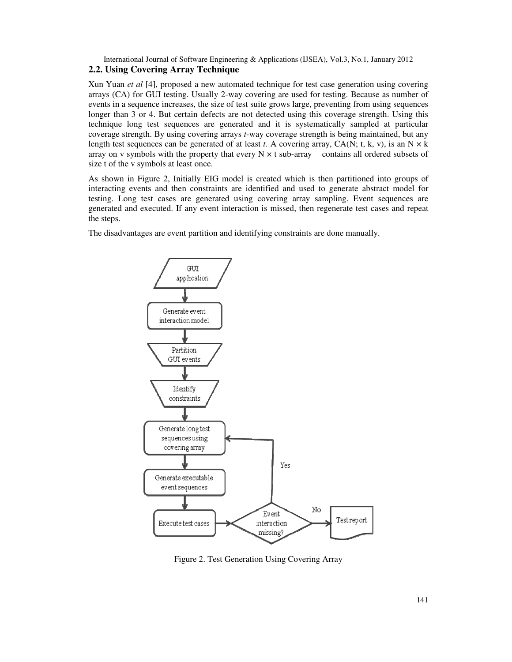International Journal of Software Engineering & Applications (IJSEA), Vol.3, No.1, January 2012

### **2.2. Using Covering Array Technique**

Xun Yuan *et al* [4], proposed a new automated technique for test case generation using covering arrays (CA) for GUI testing. Usually 2-way covering are used for testing. Because as number of events in a sequence increases, the size of test suite grows large, preventing from using sequences longer than 3 or 4. But certain defects are not detected using this coverage strength. Using this technique long test sequences are generated and it is systematically sampled at particular coverage strength. By using covering arrays *t*-way coverage strength is being maintained, but any length test sequences can be generated of at least *t*. A covering array, CA(N; t, k, v), is an  $N \times k$ array on v symbols with the property that every  $N \times t$  sub-array contains all ordered subsets of size t of the v symbols at least once.

As shown in Figure 2, Initially EIG model is created which is then partitioned into groups of interacting events and then constraints are identified and used to generate abstract model for testing. Long test cases are generated using covering array sampling. Event sequences are generated and executed. If any event interaction is missed, then regenerate test cases and repeat the steps.

The disadvantages are event partition and identifying constraints are done manually.



Figure 2. Test Generation Using Covering Array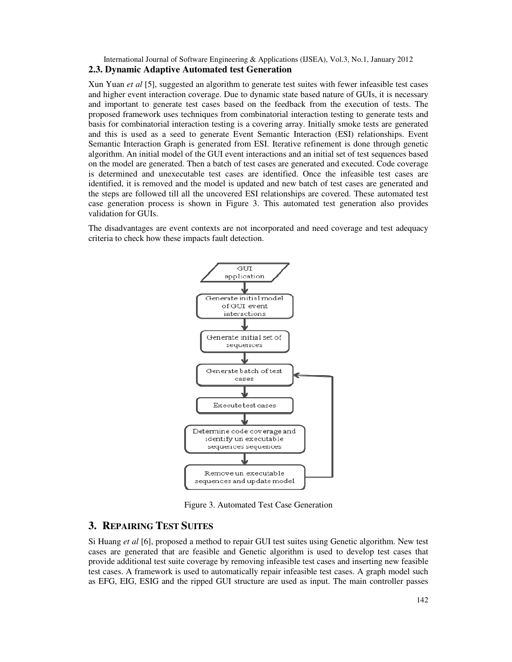International Journal of Software Engineering & Applications (IJSEA), Vol.3, No.1, January 2012

# **2.3. Dynamic Adaptive Automated test Generation**

Xun Yuan *et al* [5], suggested an algorithm to generate test suites with fewer infeasible test cases and higher event interaction coverage. Due to dynamic state based nature of GUIs, it is necessary and important to generate test cases based on the feedback from the execution of tests. The proposed framework uses techniques from combinatorial interaction testing to generate tests and basis for combinatorial interaction testing is a covering array. Initially smoke tests are generated and this is used as a seed to generate Event Semantic Interaction (ESI) relationships. Event Semantic Interaction Graph is generated from ESI. Iterative refinement is done through genetic algorithm. An initial model of the GUI event interactions and an initial set of test sequences based on the model are generated. Then a batch of test cases are generated and executed. Code coverage is determined and unexecutable test cases are identified. Once the infeasible test cases are identified, it is removed and the model is updated and new batch of test cases are generated and the steps are followed till all the uncovered ESI relationships are covered. These automated test case generation process is shown in Figure 3. This automated test generation also provides validation for GUIs.

The disadvantages are event contexts are not incorporated and need coverage and test adequacy criteria to check how these impacts fault detection.



Figure 3. Automated Test Case Generation

# **3. REPAIRING TEST SUITES**

Si Huang *et al* [6], proposed a method to repair GUI test suites using Genetic algorithm. New test cases are generated that are feasible and Genetic algorithm is used to develop test cases that provide additional test suite coverage by removing infeasible test cases and inserting new feasible test cases. A framework is used to automatically repair infeasible test cases. A graph model such as EFG, EIG, ESIG and the ripped GUI structure are used as input. The main controller passes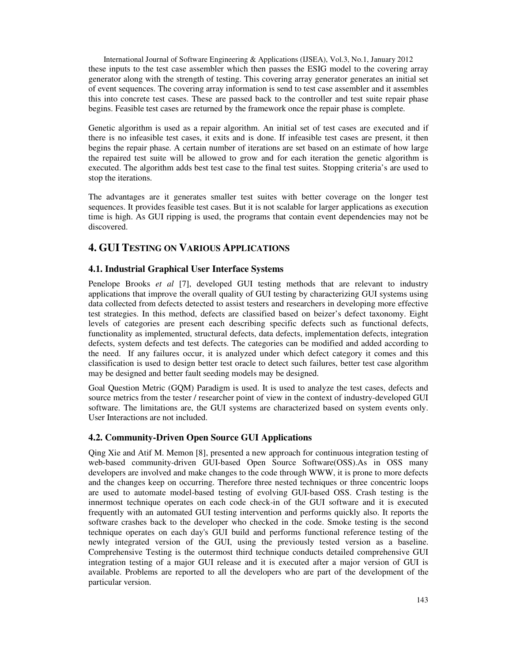International Journal of Software Engineering & Applications (IJSEA), Vol.3, No.1, January 2012 these inputs to the test case assembler which then passes the ESIG model to the covering array generator along with the strength of testing. This covering array generator generates an initial set of event sequences. The covering array information is send to test case assembler and it assembles this into concrete test cases. These are passed back to the controller and test suite repair phase begins. Feasible test cases are returned by the framework once the repair phase is complete.

Genetic algorithm is used as a repair algorithm. An initial set of test cases are executed and if there is no infeasible test cases, it exits and is done. If infeasible test cases are present, it then begins the repair phase. A certain number of iterations are set based on an estimate of how large the repaired test suite will be allowed to grow and for each iteration the genetic algorithm is executed. The algorithm adds best test case to the final test suites. Stopping criteria's are used to stop the iterations.

The advantages are it generates smaller test suites with better coverage on the longer test sequences. It provides feasible test cases. But it is not scalable for larger applications as execution time is high. As GUI ripping is used, the programs that contain event dependencies may not be discovered.

# **4. GUI TESTING ON VARIOUS APPLICATIONS**

### **4.1. Industrial Graphical User Interface Systems**

Penelope Brooks *et al* [7], developed GUI testing methods that are relevant to industry applications that improve the overall quality of GUI testing by characterizing GUI systems using data collected from defects detected to assist testers and researchers in developing more effective test strategies. In this method, defects are classified based on beizer's defect taxonomy. Eight levels of categories are present each describing specific defects such as functional defects, functionality as implemented, structural defects, data defects, implementation defects, integration defects, system defects and test defects. The categories can be modified and added according to the need. If any failures occur, it is analyzed under which defect category it comes and this classification is used to design better test oracle to detect such failures, better test case algorithm may be designed and better fault seeding models may be designed.

Goal Question Metric (GQM) Paradigm is used. It is used to analyze the test cases, defects and source metrics from the tester / researcher point of view in the context of industry-developed GUI software. The limitations are, the GUI systems are characterized based on system events only. User Interactions are not included.

### **4.2. Community-Driven Open Source GUI Applications**

Qing Xie and Atif M. Memon [8], presented a new approach for continuous integration testing of web-based community-driven GUI-based Open Source Software(OSS).As in OSS many developers are involved and make changes to the code through WWW, it is prone to more defects and the changes keep on occurring. Therefore three nested techniques or three concentric loops are used to automate model-based testing of evolving GUI-based OSS. Crash testing is the innermost technique operates on each code check-in of the GUI software and it is executed frequently with an automated GUI testing intervention and performs quickly also. It reports the software crashes back to the developer who checked in the code. Smoke testing is the second technique operates on each day's GUI build and performs functional reference testing of the newly integrated version of the GUI, using the previously tested version as a baseline. Comprehensive Testing is the outermost third technique conducts detailed comprehensive GUI integration testing of a major GUI release and it is executed after a major version of GUI is available. Problems are reported to all the developers who are part of the development of the particular version.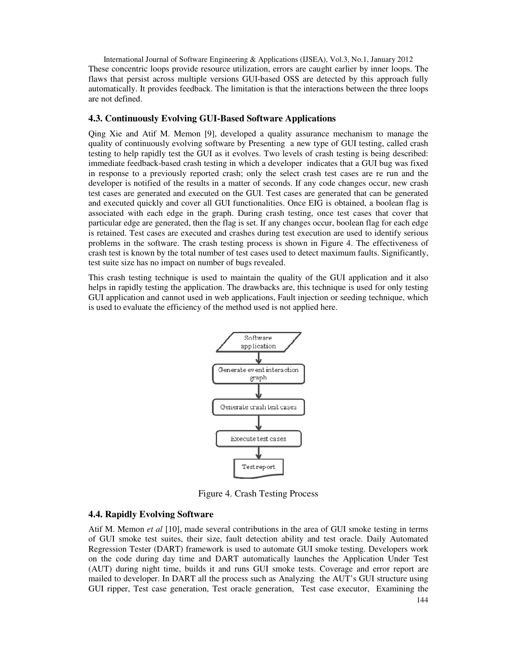International Journal of Software Engineering & Applications (IJSEA), Vol.3, No.1, January 2012 These concentric loops provide resource utilization, errors are caught earlier by inner loops. The flaws that persist across multiple versions GUI-based OSS are detected by this approach fully automatically. It provides feedback. The limitation is that the interactions between the three loops are not defined.

#### **4.3. Continuously Evolving GUI-Based Software Applications**

Qing Xie and Atif M. Memon [9], developed a quality assurance mechanism to manage the quality of continuously evolving software by Presenting a new type of GUI testing, called crash testing to help rapidly test the GUI as it evolves. Two levels of crash testing is being described: immediate feedback-based crash testing in which a developer indicates that a GUI bug was fixed in response to a previously reported crash; only the select crash test cases are re run and the developer is notified of the results in a matter of seconds. If any code changes occur, new crash test cases are generated and executed on the GUI. Test cases are generated that can be generated and executed quickly and cover all GUI functionalities. Once EIG is obtained, a boolean flag is associated with each edge in the graph. During crash testing, once test cases that cover that particular edge are generated, then the flag is set. If any changes occur, boolean flag for each edge is retained. Test cases are executed and crashes during test execution are used to identify serious problems in the software. The crash testing process is shown in Figure 4. The effectiveness of crash test is known by the total number of test cases used to detect maximum faults. Significantly, test suite size has no impact on number of bugs revealed.

This crash testing technique is used to maintain the quality of the GUI application and it also helps in rapidly testing the application. The drawbacks are, this technique is used for only testing GUI application and cannot used in web applications, Fault injection or seeding technique, which is used to evaluate the efficiency of the method used is not applied here.



Figure 4. Crash Testing Process

#### **4.4. Rapidly Evolving Software**

Atif M. Memon *et al* [10], made several contributions in the area of GUI smoke testing in terms of GUI smoke test suites, their size, fault detection ability and test oracle. Daily Automated Regression Tester (DART) framework is used to automate GUI smoke testing. Developers work on the code during day time and DART automatically launches the Application Under Test (AUT) during night time, builds it and runs GUI smoke tests. Coverage and error report are mailed to developer. In DART all the process such as Analyzing the AUT's GUI structure using GUI ripper, Test case generation, Test oracle generation, Test case executor, Examining the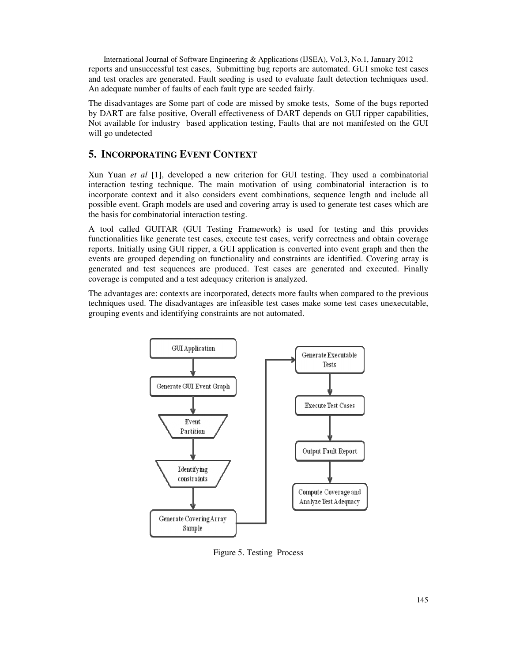International Journal of Software Engineering & Applications (IJSEA), Vol.3, No.1, January 2012 reports and unsuccessful test cases, Submitting bug reports are automated. GUI smoke test cases and test oracles are generated. Fault seeding is used to evaluate fault detection techniques used. An adequate number of faults of each fault type are seeded fairly.

The disadvantages are Some part of code are missed by smoke tests, Some of the bugs reported by DART are false positive, Overall effectiveness of DART depends on GUI ripper capabilities, Not available for industry based application testing, Faults that are not manifested on the GUI will go undetected

# **5. INCORPORATING EVENT CONTEXT**

Xun Yuan *et al* [1], developed a new criterion for GUI testing. They used a combinatorial interaction testing technique. The main motivation of using combinatorial interaction is to incorporate context and it also considers event combinations, sequence length and include all possible event. Graph models are used and covering array is used to generate test cases which are the basis for combinatorial interaction testing.

A tool called GUITAR (GUI Testing Framework) is used for testing and this provides functionalities like generate test cases, execute test cases, verify correctness and obtain coverage reports. Initially using GUI ripper, a GUI application is converted into event graph and then the events are grouped depending on functionality and constraints are identified. Covering array is generated and test sequences are produced. Test cases are generated and executed. Finally coverage is computed and a test adequacy criterion is analyzed.

The advantages are: contexts are incorporated, detects more faults when compared to the previous techniques used. The disadvantages are infeasible test cases make some test cases unexecutable, grouping events and identifying constraints are not automated.



Figure 5. Testing Process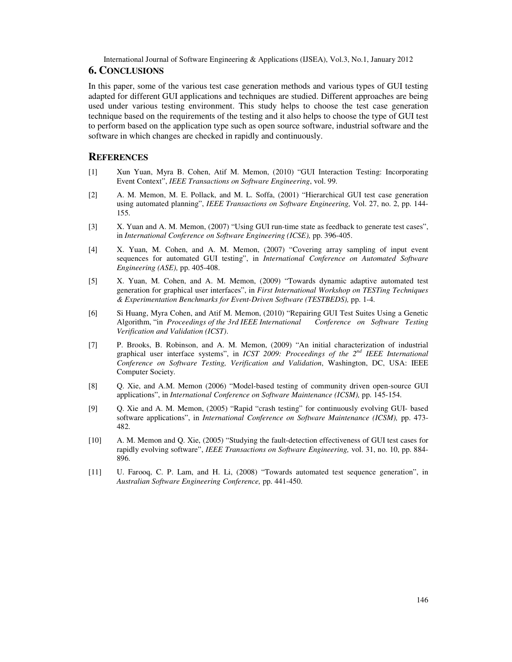International Journal of Software Engineering & Applications (IJSEA), Vol.3, No.1, January 2012

#### **6. CONCLUSIONS**

In this paper, some of the various test case generation methods and various types of GUI testing adapted for different GUI applications and techniques are studied. Different approaches are being used under various testing environment. This study helps to choose the test case generation technique based on the requirements of the testing and it also helps to choose the type of GUI test to perform based on the application type such as open source software, industrial software and the software in which changes are checked in rapidly and continuously.

#### **REFERENCES**

- [1] Xun Yuan, Myra B. Cohen, Atif M. Memon, (2010) "GUI Interaction Testing: Incorporating Event Context", *IEEE Transactions on Software Engineering*, vol. 99.
- [2] A. M. Memon, M. E. Pollack, and M. L. Soffa, (2001) "Hierarchical GUI test case generation using automated planning", *IEEE Transactions on Software Engineering,* Vol. 27, no. 2, pp. 144- 155.
- [3] X. Yuan and A. M. Memon, (2007) "Using GUI run-time state as feedback to generate test cases", in *International Conference on Software Engineering (ICSE),* pp. 396-405.
- [4] X. Yuan, M. Cohen, and A. M. Memon, (2007) "Covering array sampling of input event sequences for automated GUI testing", in *International Conference on Automated Software Engineering (ASE),* pp. 405-408.
- [5] X. Yuan, M. Cohen, and A. M. Memon, (2009) "Towards dynamic adaptive automated test generation for graphical user interfaces", in *First International Workshop on TESTing Techniques & Experimentation Benchmarks for Event-Driven Software (TESTBEDS),* pp. 1-4.
- [6] Si Huang, Myra Cohen, and Atif M. Memon, (2010) "Repairing GUI Test Suites Using a Genetic Algorithm, "in *Proceedings of the 3rd IEEE International Conference on Software Testing Verification and Validation (ICST)*.
- [7] P. Brooks, B. Robinson, and A. M. Memon, (2009) "An initial characterization of industrial graphical user interface systems", in *ICST 2009: Proceedings of the 2nd IEEE International Conference on Software Testing, Verification and Validation*, Washington, DC, USA: IEEE Computer Society.
- [8] Q. Xie, and A.M. Memon (2006) "Model-based testing of community driven open-source GUI applications", in *International Conference on Software Maintenance (ICSM),* pp. 145-154.
- [9] Q. Xie and A. M. Memon, (2005) "Rapid "crash testing" for continuously evolving GUI- based software applications", in *International Conference on Software Maintenance (ICSM),* pp. 473- 482.
- [10] A. M. Memon and Q. Xie, (2005) "Studying the fault-detection effectiveness of GUI test cases for rapidly evolving software", *IEEE Transactions on Software Engineering,* vol. 31, no. 10, pp. 884- 896.
- [11] U. Farooq, C. P. Lam, and H. Li, (2008) "Towards automated test sequence generation", in *Australian Software Engineering Conference,* pp. 441-450.